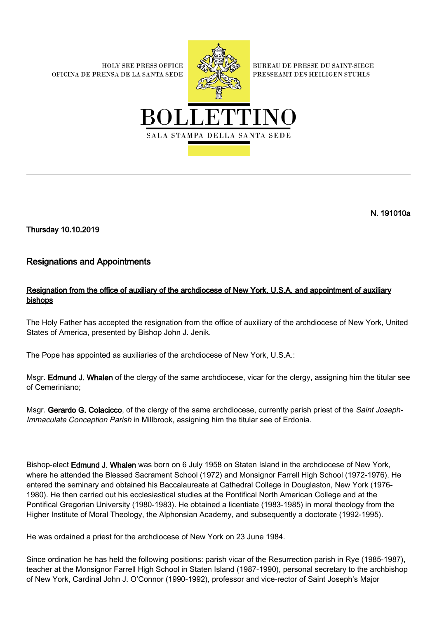**HOLY SEE PRESS OFFICE** OFICINA DE PRENSA DE LA SANTA SEDE



**BUREAU DE PRESSE DU SAINT-SIEGE** PRESSEAMT DES HEILIGEN STUHLS



N. 191010a

Thursday 10.10.2019

## Resignations and Appointments

## Resignation from the office of auxiliary of the archdiocese of New York, U.S.A. and appointment of auxiliary bishops

The Holy Father has accepted the resignation from the office of auxiliary of the archdiocese of New York, United States of America, presented by Bishop John J. Jenik.

The Pope has appointed as auxiliaries of the archdiocese of New York, U.S.A.:

Msgr. Edmund J. Whalen of the clergy of the same archdiocese, vicar for the clergy, assigning him the titular see of Cemeriniano;

Msgr. Gerardo G. Colacicco, of the clergy of the same archdiocese, currently parish priest of the Saint Joseph-Immaculate Conception Parish in Millbrook, assigning him the titular see of Erdonia.

Bishop-elect Edmund J. Whalen was born on 6 July 1958 on Staten Island in the archdiocese of New York, where he attended the Blessed Sacrament School (1972) and Monsignor Farrell High School (1972-1976). He entered the seminary and obtained his Baccalaureate at Cathedral College in Douglaston, New York (1976- 1980). He then carried out his ecclesiastical studies at the Pontifical North American College and at the Pontifical Gregorian University (1980-1983). He obtained a licentiate (1983-1985) in moral theology from the Higher Institute of Moral Theology, the Alphonsian Academy, and subsequently a doctorate (1992-1995).

He was ordained a priest for the archdiocese of New York on 23 June 1984.

Since ordination he has held the following positions: parish vicar of the Resurrection parish in Rye (1985-1987), teacher at the Monsignor Farrell High School in Staten Island (1987-1990), personal secretary to the archbishop of New York, Cardinal John J. O'Connor (1990-1992), professor and vice-rector of Saint Joseph's Major